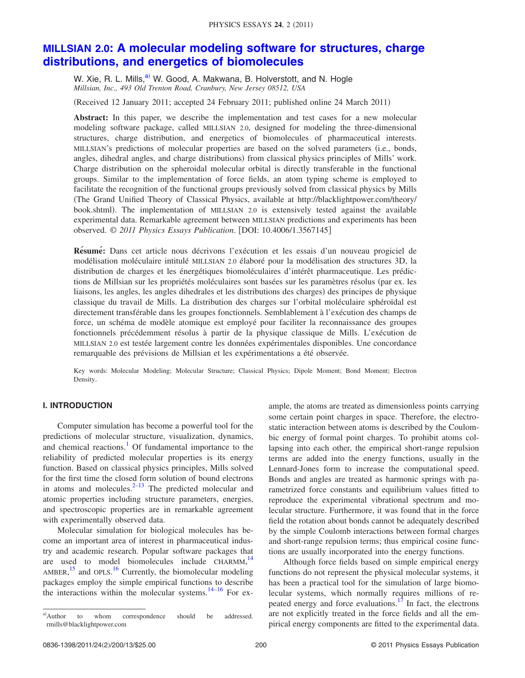# **MILLSIAN 2.0: A molecular modeling software for structures, charge distributions, and energetics of biomolecules**

W. Xie, R. L. Mills,<sup>a)</sup> W. Good, A. Makwana, B. Holverstott, and N. Hogle *Millsian, Inc., 493 Old Trenton Road, Cranbury, New Jersey 08512, USA*

(Received 12 January 2011; accepted 24 February 2011; published online 24 March 2011)

**Abstract:** In this paper, we describe the implementation and test cases for a new molecular modeling software package, called MILLSIAN 2.0, designed for modeling the three-dimensional structures, charge distribution, and energetics of biomolecules of pharmaceutical interests. MILLSIAN's predictions of molecular properties are based on the solved parameters i.e., bonds, angles, dihedral angles, and charge distributions) from classical physics principles of Mills' work. Charge distribution on the spheroidal molecular orbital is directly transferable in the functional groups. Similar to the implementation of force fields, an atom typing scheme is employed to facilitate the recognition of the functional groups previously solved from classical physics by Mills The Grand Unified Theory of Classical Physics, available at http://blacklightpower.com/theory/ book.shtml). The implementation of MILLSIAN 2.0 is extensively tested against the available experimental data. Remarkable agreement between MILLSIAN predictions and experiments has been observed. © *2011 Physics Essays Publication*. DOI: 10.4006/1.3567145

Résumé: Dans cet article nous décrivons l'exécution et les essais d'un nouveau progiciel de modélisation moléculaire intitulé MILLSIAN 2.0 élaboré pour la modélisation des structures 3D, la distribution de charges et les énergétiques biomoléculaires d'intérêt pharmaceutique. Les prédictions de Millsian sur les propriétés moléculaires sont basées sur les paramètres résolus (par ex. les liaisons, les angles, les angles dihedrales et les distributions des charges) des principes de physique classique du travail de Mills. La distribution des charges sur l'orbital moléculaire sphéroïdal est directement transférable dans les groupes fonctionnels. Semblablement à l'exécution des champs de force, un schéma de modèle atomique est employé pour faciliter la reconnaissance des groupes fonctionnels précédemment résolus à partir de la physique classique de Mills. L'exécution de MILLSIAN 2.0 est testée largement contre les données expérimentales disponibles. Une concordance remarquable des prévisions de Millsian et les expérimentations a été observée.

Key words: Molecular Modeling; Molecular Structure; Classical Physics; Dipole Moment; Bond Moment; Electron Density.

# **I. INTRODUCTION**

Computer simulation has become a powerful tool for the predictions of molecular structure, visualization, dynamics, and chemical reactions.<sup>1</sup> Of fundamental importance to the reliability of predicted molecular properties is its energy function. Based on classical physics principles, Mills solved for the first time the closed form solution of bound electrons in atoms and molecules. $2-13$  The predicted molecular and atomic properties including structure parameters, energies, and spectroscopic properties are in remarkable agreement with experimentally observed data.

Molecular simulation for biological molecules has become an important area of interest in pharmaceutical industry and academic research. Popular software packages that are used to model biomolecules include CHARMM,<sup>[14](#page-11-3)</sup> AMBER, $15$  and OPLS.<sup>[16](#page-11-5)</sup> Currently, the biomolecular modeling packages employ the simple empirical functions to describe the interactions within the molecular systems. $14-16$  For example, the atoms are treated as dimensionless points carrying some certain point charges in space. Therefore, the electrostatic interaction between atoms is described by the Coulombic energy of formal point charges. To prohibit atoms collapsing into each other, the empirical short-range repulsion terms are added into the energy functions, usually in the Lennard-Jones form to increase the computational speed. Bonds and angles are treated as harmonic springs with parametrized force constants and equilibrium values fitted to reproduce the experimental vibrational spectrum and molecular structure. Furthermore, it was found that in the force field the rotation about bonds cannot be adequately described by the simple Coulomb interactions between formal charges and short-range repulsion terms; thus empirical cosine functions are usually incorporated into the energy functions.

Although force fields based on simple empirical energy functions do not represent the physical molecular systems, it has been a practical tool for the simulation of large biomolecular systems, which normally requires millions of repeated energy and force evaluations. $17$  In fact, the electrons are not explicitly treated in the force fields and all the empirical energy components are fitted to the experimental data.

<span id="page-0-0"></span>a) to whom correspondence should be addressed. rmills@blacklightpower.com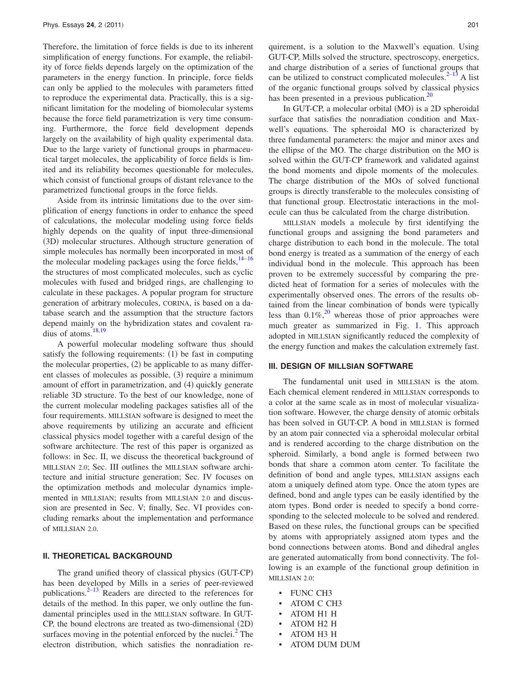Therefore, the limitation of force fields is due to its inherent simplification of energy functions. For example, the reliability of force fields depends largely on the optimization of the parameters in the energy function. In principle, force fields can only be applied to the molecules with parameters fitted to reproduce the experimental data. Practically, this is a significant limitation for the modeling of biomolecular systems because the force field parametrization is very time consuming. Furthermore, the force field development depends largely on the availability of high quality experimental data. Due to the large variety of functional groups in pharmaceutical target molecules, the applicability of force fields is limited and its reliability becomes questionable for molecules, which consist of functional groups of distant relevance to the parametrized functional groups in the force fields.

Aside from its intrinsic limitations due to the over simplification of energy functions in order to enhance the speed of calculations, the molecular modeling using force fields highly depends on the quality of input three-dimensional (3D) molecular structures. Although structure generation of simple molecules has normally been incorporated in most of the molecular modeling packages using the force fields,  $14-16$  $14-16$ the structures of most complicated molecules, such as cyclic molecules with fused and bridged rings, are challenging to calculate in these packages. A popular program for structure generation of arbitrary molecules, CORINA, is based on a database search and the assumption that the structure factors depend mainly on the hybridization states and covalent radius of atoms[.18,](#page-11-7)[19](#page-11-8)

A powerful molecular modeling software thus should satisfy the following requirements: (1) be fast in computing the molecular properties, (2) be applicable to as many different classes of molecules as possible, (3) require a minimum amount of effort in parametrization, and (4) quickly generate reliable 3D structure. To the best of our knowledge, none of the current molecular modeling packages satisfies all of the four requirements. MILLSIAN software is designed to meet the above requirements by utilizing an accurate and efficient classical physics model together with a careful design of the software architecture. The rest of this paper is organized as follows: in Sec. II, we discuss the theoretical background of MILLSIAN 2.0; Sec. III outlines the MILLSIAN software architecture and initial structure generation; Sec. IV focuses on the optimization methods and molecular dynamics implemented in MILLSIAN; results from MILLSIAN 2.0 and discussion are presented in Sec. V; finally, Sec. VI provides concluding remarks about the implementation and performance of MILLSIAN 2.0.

#### **II. THEORETICAL BACKGROUND**

The grand unified theory of classical physics (GUT-CP) has been developed by Mills in a series of peer-reviewed publications. $2<sup>13</sup>$  Readers are directed to the references for details of the method. In this paper, we only outline the fundamental principles used in the MILLSIAN software. In GUT-CP, the bound electrons are treated as two-dimensional (2D) surfaces moving in the potential enforced by the nuclei. $<sup>2</sup>$  The</sup> electron distribution, which satisfies the nonradiation re-

In GUT-CP, a molecular orbital (MO) is a 2D spheroidal surface that satisfies the nonradiation condition and Maxwell's equations. The spheroidal MO is characterized by three fundamental parameters: the major and minor axes and the ellipse of the MO. The charge distribution on the MO is solved within the GUT-CP framework and validated against the bond moments and dipole moments of the molecules. The charge distribution of the MOs of solved functional groups is directly transferable to the molecules consisting of that functional group. Electrostatic interactions in the molecule can thus be calculated from the charge distribution.

MILLSIAN models a molecule by first identifying the functional groups and assigning the bond parameters and charge distribution to each bond in the molecule. The total bond energy is treated as a summation of the energy of each individual bond in the molecule. This approach has been proven to be extremely successful by comparing the predicted heat of formation for a series of molecules with the experimentally observed ones. The errors of the results obtained from the linear combination of bonds were typically less than  $0.1\%$ ,<sup>20</sup> whereas those of prior approaches were much greater as summarized in Fig. [1.](#page-2-0) This approach adopted in MILLSIAN significantly reduced the complexity of the energy function and makes the calculation extremely fast.

#### **III. DESIGN OF MILLSIAN SOFTWARE**

The fundamental unit used in MILLSIAN is the atom. Each chemical element rendered in MILLSIAN corresponds to a color at the same scale as in most of molecular visualization software. However, the charge density of atomic orbitals has been solved in GUT-CP. A bond in MILLSIAN is formed by an atom pair connected via a spheroidal molecular orbital and is rendered according to the charge distribution on the spheroid. Similarly, a bond angle is formed between two bonds that share a common atom center. To facilitate the definition of bond and angle types, MILLSIAN assigns each atom a uniquely defined atom type. Once the atom types are defined, bond and angle types can be easily identified by the atom types. Bond order is needed to specify a bond corresponding to the selected molecule to be solved and rendered. Based on these rules, the functional groups can be specified by atoms with appropriately assigned atom types and the bond connections between atoms. Bond and dihedral angles are generated automatically from bond connectivity. The following is an example of the functional group definition in MILLSIAN 2.0:

- FUNC CH3
- ATOM C CH3
- ATOM H1 H
- ATOM H2 H
- ATOM H3 H
- ATOM DUM DUM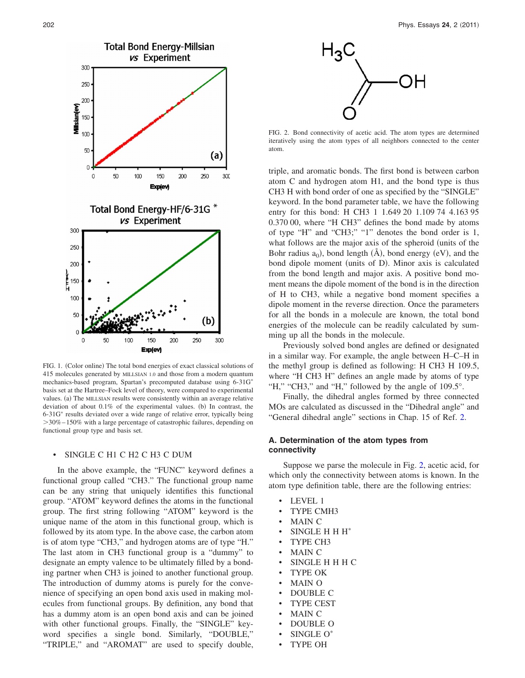<span id="page-2-0"></span>

FIG. 1. (Color online) The total bond energies of exact classical solutions of 415 molecules generated by MILLSIAN 1.0 and those from a modern quantum mechanics-based program, Spartan's precomputed database using 6-31G basis set at the Hartree–Fock level of theory, were compared to experimental values. (a) The MILLSIAN results were consistently within an average relative deviation of about 0.1% of the experimental values. (b) In contrast, the  $6-31G^*$  results deviated over a wide range of relative error, typically being 30%–150% with a large percentage of catastrophic failures, depending on functional group type and basis set.

### SINGLE C H1 C H2 C H3 C DUM

In the above example, the "FUNC" keyword defines a functional group called "CH3." The functional group name can be any string that uniquely identifies this functional group. "ATOM" keyword defines the atoms in the functional group. The first string following "ATOM" keyword is the unique name of the atom in this functional group, which is followed by its atom type. In the above case, the carbon atom is of atom type "CH3," and hydrogen atoms are of type "H." The last atom in CH3 functional group is a "dummy" to designate an empty valence to be ultimately filled by a bonding partner when CH3 is joined to another functional group. The introduction of dummy atoms is purely for the convenience of specifying an open bond axis used in making molecules from functional groups. By definition, any bond that has a dummy atom is an open bond axis and can be joined with other functional groups. Finally, the "SINGLE" keyword specifies a single bond. Similarly, "DOUBLE," "TRIPLE," and "AROMAT" are used to specify double,

<span id="page-2-1"></span>

FIG. 2. Bond connectivity of acetic acid. The atom types are determined iteratively using the atom types of all neighbors connected to the center atom.

triple, and aromatic bonds. The first bond is between carbon atom C and hydrogen atom H1, and the bond type is thus CH3 H with bond order of one as specified by the "SINGLE" keyword. In the bond parameter table, we have the following entry for this bond: H CH3 1 1.649 20 1.109 74 4.163 95 0.370 00, where "H CH3" defines the bond made by atoms of type "H" and "CH3;" "1" denotes the bond order is 1, what follows are the major axis of the spheroid (units of the Bohr radius  $a_0$ ), bond length (Å), bond energy (eV), and the bond dipole moment (units of D). Minor axis is calculated from the bond length and major axis. A positive bond moment means the dipole moment of the bond is in the direction of H to CH3, while a negative bond moment specifies a dipole moment in the reverse direction. Once the parameters for all the bonds in a molecule are known, the total bond energies of the molecule can be readily calculated by summing up all the bonds in the molecule.

Previously solved bond angles are defined or designated in a similar way. For example, the angle between H–C–H in the methyl group is defined as following: H CH3 H 109.5, where "H CH3 H" defines an angle made by atoms of type "H," "CH3," and "H," followed by the angle of 109.5°.

Finally, the dihedral angles formed by three connected MOs are calculated as discussed in the "Dihedral angle" and "General dihedral angle" sections in Chap. 15 of Ref. [2.](#page-11-1)

### **A. Determination of the atom types from connectivity**

Suppose we parse the molecule in Fig. [2,](#page-2-1) acetic acid, for which only the connectivity between atoms is known. In the atom type definition table, there are the following entries:

- LEVEL 1
- TYPE CMH3
- MAIN C
- SINGLE H H H<sup>\*</sup>
- TYPE CH3
- MAIN C
- SINGLE H H H C
- TYPE OK
- MAIN O
- DOUBLE C
- TYPE CEST
- MAIN C
- DOUBLE O
- SINGLE O\*
- TYPE OH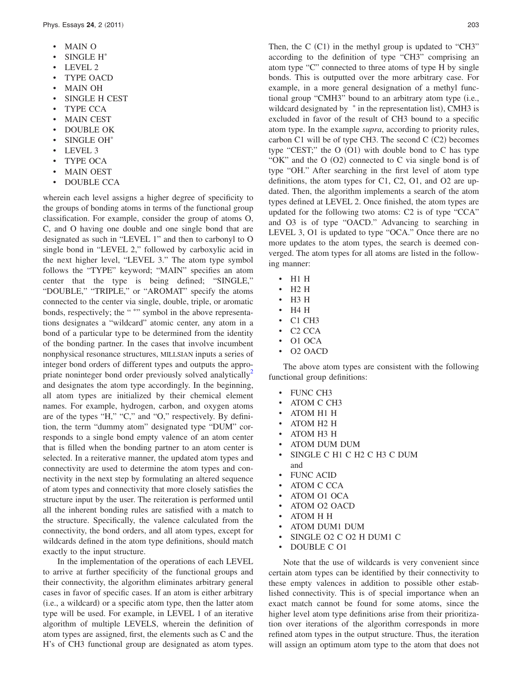- MAIN O
- SINGLE H<sup>\*</sup>
- LEVEL 2
- TYPE OACD
- MAIN OH
- SINGLE H CEST
- TYPE CCA
- **MAIN CEST**
- DOUBLE OK
- SINGLE OH<sup>\*</sup>
- LEVEL 3
- TYPE OCA
- **MAIN OEST**
- DOUBLE CCA

wherein each level assigns a higher degree of specificity to the groups of bonding atoms in terms of the functional group classification. For example, consider the group of atoms O, C, and O having one double and one single bond that are designated as such in "LEVEL 1" and then to carbonyl to O single bond in "LEVEL 2," followed by carboxylic acid in the next higher level, "LEVEL 3." The atom type symbol follows the "TYPE" keyword; "MAIN" specifies an atom center that the type is being defined; "SINGLE," "DOUBLE," "TRIPLE," or "AROMAT" specify the atoms connected to the center via single, double, triple, or aromatic bonds, respectively; the "\*" symbol in the above representations designates a "wildcard" atomic center, any atom in a bond of a particular type to be determined from the identity of the bonding partner. In the cases that involve incumbent nonphysical resonance structures, MILLSIAN inputs a series of integer bond orders of different types and outputs the appropriate noninteger bond order previously solved analytically<sup>2</sup> and designates the atom type accordingly. In the beginning, all atom types are initialized by their chemical element names. For example, hydrogen, carbon, and oxygen atoms are of the types "H," "C," and "O," respectively. By definition, the term "dummy atom" designated type "DUM" corresponds to a single bond empty valence of an atom center that is filled when the bonding partner to an atom center is selected. In a reiterative manner, the updated atom types and connectivity are used to determine the atom types and connectivity in the next step by formulating an altered sequence of atom types and connectivity that more closely satisfies the structure input by the user. The reiteration is performed until all the inherent bonding rules are satisfied with a match to the structure. Specifically, the valence calculated from the connectivity, the bond orders, and all atom types, except for wildcards defined in the atom type definitions, should match exactly to the input structure.

In the implementation of the operations of each LEVEL to arrive at further specificity of the functional groups and their connectivity, the algorithm eliminates arbitrary general cases in favor of specific cases. If an atom is either arbitrary (i.e., a wildcard) or a specific atom type, then the latter atom type will be used. For example, in LEVEL 1 of an iterative algorithm of multiple LEVELS, wherein the definition of atom types are assigned, first, the elements such as C and the H's of CH3 functional group are designated as atom types.

Then, the  $C$  (C1) in the methyl group is updated to "CH3" according to the definition of type "CH3" comprising an atom type "C" connected to three atoms of type H by single bonds. This is outputted over the more arbitrary case. For example, in a more general designation of a methyl functional group "CMH3" bound to an arbitrary atom type (i.e., wildcard designated by  $*$  in the representation list), CMH3 is excluded in favor of the result of CH3 bound to a specific atom type. In the example *supra*, according to priority rules, carbon C1 will be of type CH3. The second C  $(C2)$  becomes type "CEST;" the O (O1) with double bond to C has type "OK" and the  $O$  (O2) connected to C via single bond is of type "OH." After searching in the first level of atom type definitions, the atom types for C1, C2, O1, and O2 are updated. Then, the algorithm implements a search of the atom types defined at LEVEL 2. Once finished, the atom types are updated for the following two atoms: C2 is of type "CCA" and O3 is of type "OACD." Advancing to searching in LEVEL 3, O1 is updated to type "OCA." Once there are no more updates to the atom types, the search is deemed converged. The atom types for all atoms are listed in the following manner:

- H1 H
- H2 H
- H3 H
- H4 H
- C1 CH3
- C2 CCA
- O1 OCA
- O2 OACD

The above atom types are consistent with the following functional group definitions:

- FUNC CH3
- ATOM C CH3
- ATOM H1 H
- ATOM H2 H
- ATOM H3 H
- ATOM DUM DUM
- SINGLE C H1 C H2 C H3 C DUM and
- FUNC ACID
- ATOM C CCA
- ATOM O1 OCA
- ATOM O2 OACD
- ATOM H H
- ATOM DUM1 DUM
- SINGLE O2 C O2 H DUM1 C
- DOUBLE C O1

Note that the use of wildcards is very convenient since certain atom types can be identified by their connectivity to these empty valences in addition to possible other established connectivity. This is of special importance when an exact match cannot be found for some atoms, since the higher level atom type definitions arise from their prioritization over iterations of the algorithm corresponds in more refined atom types in the output structure. Thus, the iteration will assign an optimum atom type to the atom that does not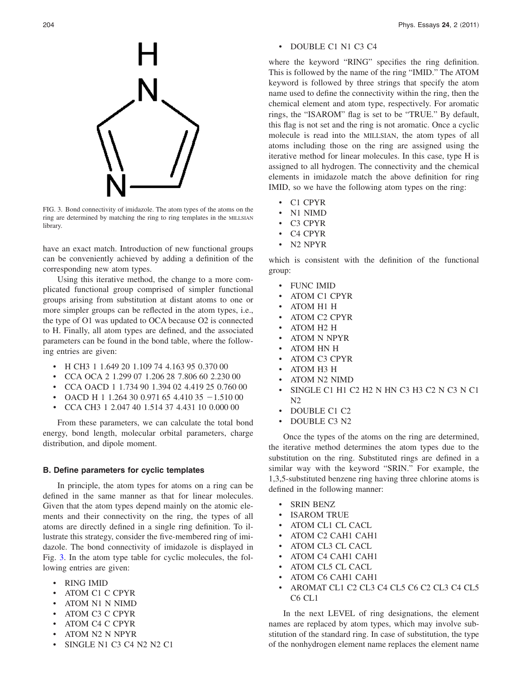<span id="page-4-0"></span>

FIG. 3. Bond connectivity of imidazole. The atom types of the atoms on the ring are determined by matching the ring to ring templates in the MILLSIAN library.

have an exact match. Introduction of new functional groups can be conveniently achieved by adding a definition of the corresponding new atom types.

Using this iterative method, the change to a more complicated functional group comprised of simpler functional groups arising from substitution at distant atoms to one or more simpler groups can be reflected in the atom types, i.e., the type of O1 was updated to OCA because O2 is connected to H. Finally, all atom types are defined, and the associated parameters can be found in the bond table, where the following entries are given:

- H CH3 1 1.649 20 1.109 74 4.163 95 0.370 00
- CCA OCA 2 1.299 07 1.206 28 7.806 60 2.230 00
- CCA OACD 1 1.734 90 1.394 02 4.419 25 0.760 00
- OACD H 1 1.264 30 0.971 65 4.410 35  $-1.51000$
- CCA CH3 1 2.047 40 1.514 37 4.431 10 0.000 00

From these parameters, we can calculate the total bond energy, bond length, molecular orbital parameters, charge distribution, and dipole moment.

#### **B. Define parameters for cyclic templates**

In principle, the atom types for atoms on a ring can be defined in the same manner as that for linear molecules. Given that the atom types depend mainly on the atomic elements and their connectivity on the ring, the types of all atoms are directly defined in a single ring definition. To illustrate this strategy, consider the five-membered ring of imidazole. The bond connectivity of imidazole is displayed in Fig. [3.](#page-4-0) In the atom type table for cyclic molecules, the following entries are given:

- RING IMID
- ATOM C1 C CPYR
- ATOM N1 N NIMD
- ATOM C3 C CPYR
- ATOM C4 C CPYR
- ATOM N2 N NPYR
- SINGLE N1 C3 C4 N2 N2 C1

# • DOUBLE C1 N1 C3 C4

where the keyword "RING" specifies the ring definition. This is followed by the name of the ring "IMID." The ATOM keyword is followed by three strings that specify the atom name used to define the connectivity within the ring, then the chemical element and atom type, respectively. For aromatic rings, the "ISAROM" flag is set to be "TRUE." By default, this flag is not set and the ring is not aromatic. Once a cyclic molecule is read into the MILLSIAN, the atom types of all atoms including those on the ring are assigned using the iterative method for linear molecules. In this case, type H is assigned to all hydrogen. The connectivity and the chemical elements in imidazole match the above definition for ring IMID, so we have the following atom types on the ring:

- C1 CPYR
- N1 NIMD
- C3 CPYR
- C<sub>4</sub> CPYR
- N2 NPYR

which is consistent with the definition of the functional group:

- FUNC IMID
- ATOM C1 CPYR
- ATOM H1 H
- ATOM C2 CPYR
- ATOM H2 H
- ATOM N NPYR
- ATOM HN H
- ATOM C3 CPYR
- ATOM H3 H
- ATOM N2 NIMD
- SINGLE C1 H1 C2 H2 N HN C3 H3 C2 N C3 N C1  $N<sub>2</sub>$
- DOUBLE C1 C2
- DOUBLE C3 N2

Once the types of the atoms on the ring are determined, the iterative method determines the atom types due to the substitution on the ring. Substituted rings are defined in a similar way with the keyword "SRIN." For example, the 1,3,5-substituted benzene ring having three chlorine atoms is defined in the following manner:

- SRIN BENZ
- **ISAROM TRUE**
- ATOM CL1 CL CACL
- ATOM C2 CAH1 CAH1
- ATOM CL3 CL CACL
- ATOM C4 CAH1 CAH1
- ATOM CL5 CL CACL
- ATOM C6 CAH1 CAH1
- AROMAT CL1 C2 CL3 C4 CL5 C6 C2 CL3 C4 CL5 C6 CL1

In the next LEVEL of ring designations, the element names are replaced by atom types, which may involve substitution of the standard ring. In case of substitution, the type of the nonhydrogen element name replaces the element name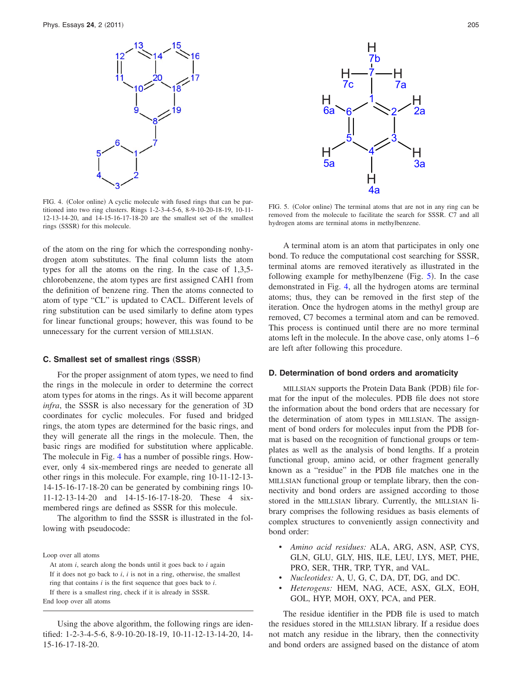<span id="page-5-0"></span>

FIG. 4. (Color online) A cyclic molecule with fused rings that can be partitioned into two ring clusters. Rings 1-2-3-4-5-6, 8-9-10-20-18-19, 10-11- 12-13-14-20, and 14-15-16-17-18-20 are the smallest set of the smallest rings (SSSR) for this molecule.

of the atom on the ring for which the corresponding nonhydrogen atom substitutes. The final column lists the atom types for all the atoms on the ring. In the case of 1,3,5 chlorobenzene, the atom types are first assigned CAH1 from the definition of benzene ring. Then the atoms connected to atom of type "CL" is updated to CACL. Different levels of ring substitution can be used similarly to define atom types for linear functional groups; however, this was found to be unnecessary for the current version of MILLSIAN.

#### **C. Smallest set of smallest rings (SSSR)**

For the proper assignment of atom types, we need to find the rings in the molecule in order to determine the correct atom types for atoms in the rings. As it will become apparent *infra*, the SSSR is also necessary for the generation of 3D coordinates for cyclic molecules. For fused and bridged rings, the atom types are determined for the basic rings, and they will generate all the rings in the molecule. Then, the basic rings are modified for substitution where applicable. The molecule in Fig. [4](#page-5-0) has a number of possible rings. However, only 4 six-membered rings are needed to generate all other rings in this molecule. For example, ring 10-11-12-13- 14-15-16-17-18-20 can be generated by combining rings 10- 11-12-13-14-20 and 14-15-16-17-18-20. These 4 sixmembered rings are defined as SSSR for this molecule.

The algorithm to find the SSSR is illustrated in the following with pseudocode:

At atom *i*, search along the bonds until it goes back to *i* again If it does not go back to *i*, *i* is not in a ring, otherwise, the smallest ring that contains *i* is the first sequence that goes back to *i*. If there is a smallest ring, check if it is already in SSSR. End loop over all atoms

Using the above algorithm, the following rings are identified: 1-2-3-4-5-6, 8-9-10-20-18-19, 10-11-12-13-14-20, 14- 15-16-17-18-20.

<span id="page-5-1"></span>

FIG. 5. (Color online) The terminal atoms that are not in any ring can be removed from the molecule to facilitate the search for SSSR. C7 and all hydrogen atoms are terminal atoms in methylbenzene.

A terminal atom is an atom that participates in only one bond. To reduce the computational cost searching for SSSR, terminal atoms are removed iteratively as illustrated in the following example for methylbenzene (Fig.  $5$ ). In the case demonstrated in Fig. [4,](#page-5-0) all the hydrogen atoms are terminal atoms; thus, they can be removed in the first step of the iteration. Once the hydrogen atoms in the methyl group are removed, C7 becomes a terminal atom and can be removed. This process is continued until there are no more terminal atoms left in the molecule. In the above case, only atoms 1–6 are left after following this procedure.

#### **D. Determination of bond orders and aromaticity**

MILLSIAN supports the Protein Data Bank (PDB) file format for the input of the molecules. PDB file does not store the information about the bond orders that are necessary for the determination of atom types in MILLSIAN. The assignment of bond orders for molecules input from the PDB format is based on the recognition of functional groups or templates as well as the analysis of bond lengths. If a protein functional group, amino acid, or other fragment generally known as a "residue" in the PDB file matches one in the MILLSIAN functional group or template library, then the connectivity and bond orders are assigned according to those stored in the MILLSIAN library. Currently, the MILLSIAN library comprises the following residues as basis elements of complex structures to conveniently assign connectivity and bond order:

- *Amino acid residues:* ALA, ARG, ASN, ASP, CYS, GLN, GLU, GLY, HIS, ILE, LEU, LYS, MET, PHE, PRO, SER, THR, TRP, TYR, and VAL.
- *Nucleotides:* A, U, G, C, DA, DT, DG, and DC.
- *Heterogens:* HEM, NAG, ACE, ASX, GLX, EOH, GOL, HYP, MOH, OXY, PCA, and PER.

The residue identifier in the PDB file is used to match the residues stored in the MILLSIAN library. If a residue does not match any residue in the library, then the connectivity and bond orders are assigned based on the distance of atom

Loop over all atoms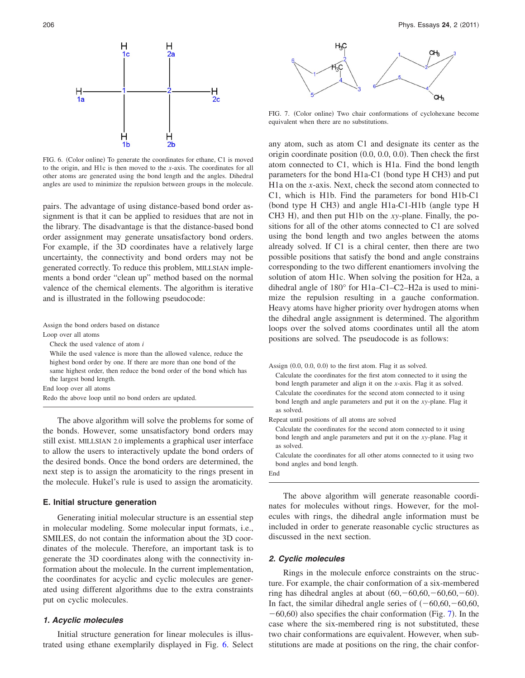<span id="page-6-0"></span>

FIG. 6. (Color online) To generate the coordinates for ethane, C1 is moved to the origin, and H1c is then moved to the *x*-axis. The coordinates for all other atoms are generated using the bond length and the angles. Dihedral angles are used to minimize the repulsion between groups in the molecule.

pairs. The advantage of using distance-based bond order assignment is that it can be applied to residues that are not in the library. The disadvantage is that the distance-based bond order assignment may generate unsatisfactory bond orders. For example, if the 3D coordinates have a relatively large uncertainty, the connectivity and bond orders may not be generated correctly. To reduce this problem, MILLSIAN implements a bond order "clean up" method based on the normal valence of the chemical elements. The algorithm is iterative and is illustrated in the following pseudocode:

| Assign the bond orders based on distance                             |
|----------------------------------------------------------------------|
| Loop over all atoms                                                  |
| Check the used valence of atom i                                     |
| While the used valence is more than the allowed valence, reduce the  |
| highest bond order by one. If there are more than one bond of the    |
| same highest order, then reduce the bond order of the bond which has |
| the largest bond length.                                             |
| End loop over all atoms                                              |
|                                                                      |

Redo the above loop until no bond orders are updated.

The above algorithm will solve the problems for some of the bonds. However, some unsatisfactory bond orders may still exist. MILLSIAN 2.0 implements a graphical user interface to allow the users to interactively update the bond orders of the desired bonds. Once the bond orders are determined, the next step is to assign the aromaticity to the rings present in the molecule. Hukel's rule is used to assign the aromaticity.

# **E. Initial structure generation**

Generating initial molecular structure is an essential step in molecular modeling. Some molecular input formats, i.e., SMILES, do not contain the information about the 3D coordinates of the molecule. Therefore, an important task is to generate the 3D coordinates along with the connectivity information about the molecule. In the current implementation, the coordinates for acyclic and cyclic molecules are generated using different algorithms due to the extra constraints put on cyclic molecules.

# *1. Acyclic molecules*

Initial structure generation for linear molecules is illustrated using ethane exemplarily displayed in Fig. [6.](#page-6-0) Select

<span id="page-6-1"></span>

FIG. 7. (Color online) Two chair conformations of cyclohexane become equivalent when there are no substitutions.

any atom, such as atom C1 and designate its center as the origin coordinate position (0.0, 0.0, 0.0). Then check the first atom connected to C1, which is H1a. Find the bond length parameters for the bond H1a-C1 (bond type H CH3) and put H1a on the *x*-axis. Next, check the second atom connected to C1, which is H1b. Find the parameters for bond H1b-C1 (bond type H CH3) and angle H1a-C1-H1b (angle type H CH3 H), and then put H1b on the *xy*-plane. Finally, the positions for all of the other atoms connected to C1 are solved using the bond length and two angles between the atoms already solved. If C1 is a chiral center, then there are two possible positions that satisfy the bond and angle constrains corresponding to the two different enantiomers involving the solution of atom H1c. When solving the position for H2a, a dihedral angle of 180° for H1a–C1–C2–H2a is used to minimize the repulsion resulting in a gauche conformation. Heavy atoms have higher priority over hydrogen atoms when the dihedral angle assignment is determined. The algorithm loops over the solved atoms coordinates until all the atom positions are solved. The pseudocode is as follows:

Assign (0.0, 0.0, 0.0) to the first atom. Flag it as solved.

Calculate the coordinates for the first atom connected to it using the bond length parameter and align it on the *x*-axis. Flag it as solved. Calculate the coordinates for the second atom connected to it using bond length and angle parameters and put it on the *xy*-plane. Flag it as solved.

Repeat until positions of all atoms are solved

Calculate the coordinates for the second atom connected to it using bond length and angle parameters and put it on the *xy*-plane. Flag it as solved.

Calculate the coordinates for all other atoms connected to it using two bond angles and bond length.

| ۰ |     |
|---|-----|
|   | $-$ |

The above algorithm will generate reasonable coordinates for molecules without rings. However, for the molecules with rings, the dihedral angle information must be included in order to generate reasonable cyclic structures as discussed in the next section.

#### *2. Cyclic molecules*

Rings in the molecule enforce constraints on the structure. For example, the chair conformation of a six-membered ring has dihedral angles at about  $(60, -60, 60, -60, 60, -60)$ . In fact, the similar dihedral angle series of  $(-60,60, -60,60,$  $-60,60$ ) also specifies the chair conformation (Fig. [7](#page-6-1)). In the case where the six-membered ring is not substituted, these two chair conformations are equivalent. However, when substitutions are made at positions on the ring, the chair confor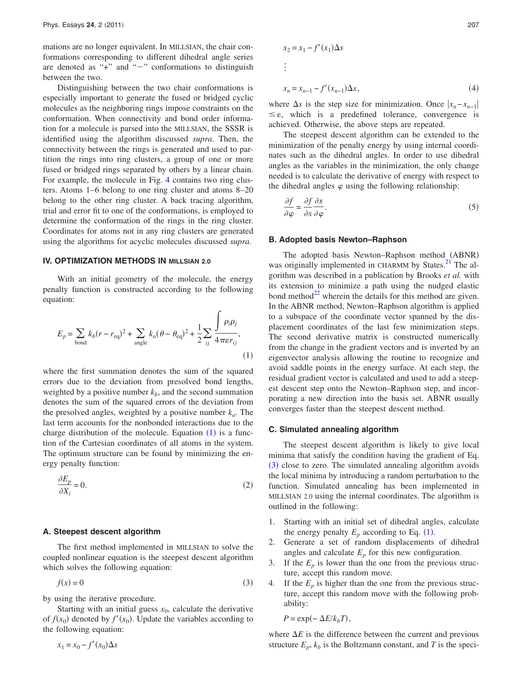mations are no longer equivalent. In MILLSIAN, the chair conformations corresponding to different dihedral angle series are denoted as "+" and "-" conformations to distinguish between the two.

Distinguishing between the two chair conformations is especially important to generate the fused or bridged cyclic molecules as the neighboring rings impose constraints on the conformation. When connectivity and bond order information for a molecule is parsed into the MILLSIAN, the SSSR is identified using the algorithm discussed *supra*. Then, the connectivity between the rings is generated and used to partition the rings into ring clusters, a group of one or more fused or bridged rings separated by others by a linear chain. For example, the molecule in Fig. [4](#page-5-0) contains two ring clusters. Atoms 1–6 belong to one ring cluster and atoms 8–20 belong to the other ring cluster. A back tracing algorithm, trial and error fit to one of the conformations, is employed to determine the conformation of the rings in the ring cluster. Coordinates for atoms not in any ring clusters are generated using the algorithms for acyclic molecules discussed *supra*.

# **IV. OPTIMIZATION METHODS IN MILLSIAN 2.0**

With an initial geometry of the molecule, the energy penalty function is constructed according to the following equation:

<span id="page-7-0"></span>
$$
E_p = \sum_{\text{bond}} k_b (r - r_{\text{eq}})^2 + \sum_{\text{angle}} k_a (\theta - \theta_{\text{eq}})^2 + \frac{1}{2} \sum_{ij} \frac{\int \rho_i \rho_j}{4 \pi \epsilon r_{ij}},
$$
\n(1)

where the first summation denotes the sum of the squared errors due to the deviation from presolved bond lengths, weighted by a positive number  $k<sub>b</sub>$ , and the second summation denotes the sum of the squared errors of the deviation from the presolved angles, weighted by a positive number  $k_a$ . The last term accounts for the nonbonded interactions due to the charge distribution of the molecule. Equation  $(1)$  $(1)$  $(1)$  is a function of the Cartesian coordinates of all atoms in the system. The optimum structure can be found by minimizing the energy penalty function:

$$
\frac{\partial E_p}{\partial X_i} = 0.
$$
 (2)

#### **A. Steepest descent algorithm**

The first method implemented in MILLSIAN to solve the coupled nonlinear equation is the steepest descent algorithm which solves the following equation:

$$
f(x) = 0\tag{3}
$$

<span id="page-7-1"></span>by using the iterative procedure.

Starting with an initial guess  $x_0$ , calculate the derivative of  $f(x_0)$  denoted by  $f'(x_0)$ . Update the variables according to the following equation:

$$
x_2 = x_1 - f'(x_1) \Delta s
$$
  
\n
$$
\vdots
$$
  
\n
$$
x_n = x_{n-1} - f'(x_{n-1}) \Delta s,
$$
\n(4)

where  $\Delta s$  is the step size for minimization. Once  $|x_n - x_{n-1}|$  $\leq \varepsilon$ , which is a predefined tolerance, convergence is achieved. Otherwise, the above steps are repeated.

The steepest descent algorithm can be extended to the minimization of the penalty energy by using internal coordinates such as the dihedral angles. In order to use dihedral angles as the variables in the minimization, the only change needed is to calculate the derivative of energy with respect to the dihedral angles  $\varphi$  using the following relationship:

$$
\frac{\partial f}{\partial \varphi} = \frac{\partial f}{\partial x} \frac{\partial x}{\partial \varphi}.
$$
\n(5)

#### **B. Adopted basis Newton–Raphson**

The adopted basis Newton–Raphson method (ABNR) was originally implemented in CHARMM by States.<sup>21</sup> The algorithm was described in a publication by Brooks *et al.* with its extension to minimize a path using the nudged elastic bond method<sup>22</sup> wherein the details for this method are given. In the ABNR method, Newton–Raphson algorithm is applied to a subspace of the coordinate vector spanned by the displacement coordinates of the last few minimization steps. The second derivative matrix is constructed numerically from the change in the gradient vectors and is inverted by an eigenvector analysis allowing the routine to recognize and avoid saddle points in the energy surface. At each step, the residual gradient vector is calculated and used to add a steepest descent step onto the Newton–Raphson step, and incorporating a new direction into the basis set. ABNR usually converges faster than the steepest descent method.

#### **C. Simulated annealing algorithm**

The steepest descent algorithm is likely to give local minima that satisfy the condition having the gradient of Eq. ([3](#page-7-1)) close to zero. The simulated annealing algorithm avoids the local minima by introducing a random perturbation to the function. Simulated annealing has been implemented in MILLSIAN 2.0 using the internal coordinates. The algorithm is outlined in the following:

- 1. Starting with an initial set of dihedral angles, calculate the energy penalty  $E_p$  according to Eq. ([1](#page-7-0)).
- 2. Generate a set of random displacements of dihedral angles and calculate  $E_p$  for this new configuration.
- 3. If the  $E_p$  is lower than the one from the previous structure, accept this random move.
- 4. If the  $E_p$  is higher than the one from the previous structure, accept this random move with the following probability:

$$
P = \exp(-\Delta E/k_b T),
$$

where  $\Delta E$  is the difference between the current and previous structure  $E_p$ ,  $k_b$  is the Boltzmann constant, and *T* is the speci-

$$
x_1 = x_0 - f'(x_0) \Delta s
$$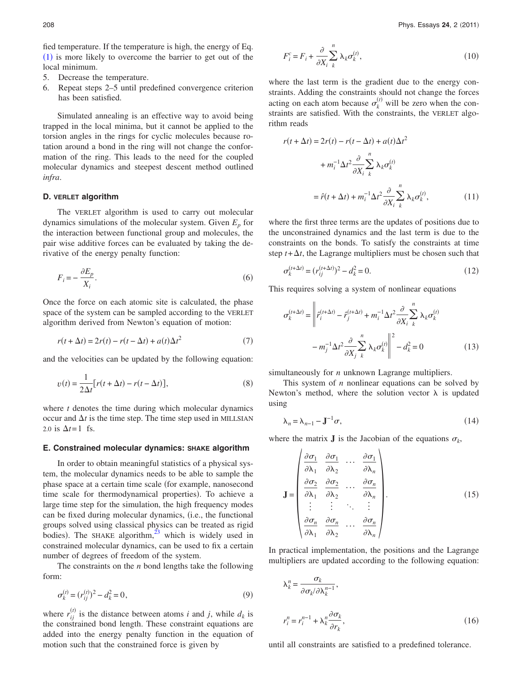fied temperature. If the temperature is high, the energy of Eq.  $(1)$  $(1)$  $(1)$  is more likely to overcome the barrier to get out of the local minimum.

- 5. Decrease the temperature.
- 6. Repeat steps 2–5 until predefined convergence criterion has been satisfied.

Simulated annealing is an effective way to avoid being trapped in the local minima, but it cannot be applied to the torsion angles in the rings for cyclic molecules because rotation around a bond in the ring will not change the conformation of the ring. This leads to the need for the coupled molecular dynamics and steepest descent method outlined *infra*.

# **D. VERLET algorithm**

The VERLET algorithm is used to carry out molecular dynamics simulations of the molecular system. Given  $E<sub>n</sub>$  for the interaction between functional group and molecules, the pair wise additive forces can be evaluated by taking the derivative of the energy penalty function:

$$
F_i = -\frac{\partial E_p}{X_i}.\tag{6}
$$

Once the force on each atomic site is calculated, the phase space of the system can be sampled according to the VERLET algorithm derived from Newton's equation of motion:

$$
r(t + \Delta t) = 2r(t) - r(t - \Delta t) + a(t)\Delta t^2
$$
\n(7)

and the velocities can be updated by the following equation:

$$
v(t) = \frac{1}{2\Delta t} [r(t + \Delta t) - r(t - \Delta t)],
$$
\n(8)

where *t* denotes the time during which molecular dynamics occur and  $\Delta t$  is the time step. The time step used in MILLSIAN 2.0 is  $\Delta t = 1$  fs.

#### **E. Constrained molecular dynamics: SHAKE algorithm**

In order to obtain meaningful statistics of a physical system, the molecular dynamics needs to be able to sample the phase space at a certain time scale for example, nanosecond time scale for thermodynamical properties). To achieve a large time step for the simulation, the high frequency modes can be fixed during molecular dynamics, i.e., the functional groups solved using classical physics can be treated as rigid bodies). The SHAKE algorithm,<sup>23</sup> which is widely used in constrained molecular dynamics, can be used to fix a certain number of degrees of freedom of the system.

The constraints on the *n* bond lengths take the following form:

$$
\sigma_k^{(t)} = (r_{ij}^{(t)})^2 - d_k^2 = 0,\tag{9}
$$

where  $r_{ij}^{(t)}$  is the distance between atoms *i* and *j*, while  $d_k$  is the constrained bond length. These constraint equations are added into the energy penalty function in the equation of motion such that the constrained force is given by

$$
F_i^c = F_i + \frac{\partial}{\partial X_i} \sum_{k}^{n} \lambda_k \sigma_k^{(t)},
$$
\n(10)

where the last term is the gradient due to the energy constraints. Adding the constraints should not change the forces acting on each atom because  $\sigma_k^0$  $t_{k}^{(t)}$  will be zero when the constraints are satisfied. With the constraints, the VERLET algorithm reads

$$
r(t + \Delta t) = 2r(t) - r(t - \Delta t) + a(t)\Delta t^2
$$
  
+  $m_i^{-1} \Delta t^2 \frac{\partial}{\partial X_i} \sum_{k}^{n} \lambda_k \sigma_k^{(t)}$   
=  $\hat{r}(t + \Delta t) + m_i^{-1} \Delta t^2 \frac{\partial}{\partial X_i} \sum_{k}^{n} \lambda_k \sigma_k^{(t)},$  (11)

where the first three terms are the updates of positions due to the unconstrained dynamics and the last term is due to the constraints on the bonds. To satisfy the constraints at time step  $t + \Delta t$ , the Lagrange multipliers must be chosen such that

$$
\sigma_k^{(t+\Delta t)} = (r_{ij}^{(t+\Delta t)})^2 - d_k^2 = 0.
$$
\n(12)

This requires solving a system of nonlinear equations

$$
\sigma_k^{(t+\Delta t)} = \left\| \hat{r}_i^{(t+\Delta t)} - \hat{r}_j^{(t+\Delta t)} + m_i^{-1} \Delta t^2 \frac{\partial}{\partial X_i} \sum_k^n \lambda_k \sigma_k^{(t)} \right\|
$$

$$
- m_j^{-1} \Delta t^2 \frac{\partial}{\partial X_j} \sum_k^n \lambda_k \sigma_k^{(t)} \right\|^2 - d_k^2 = 0 \tag{13}
$$

simultaneously for *n* unknown Lagrange multipliers.

This system of *n* nonlinear equations can be solved by Newton's method, where the solution vector  $\lambda$  is updated using

$$
\lambda_n = \lambda_{n-1} - \mathbf{J}^{-1} \sigma,\tag{14}
$$

where the matrix **J** is the Jacobian of the equations  $\sigma_k$ ,

$$
\mathbf{J} = \begin{pmatrix} \frac{\partial \sigma_1}{\partial \lambda_1} & \frac{\partial \sigma_1}{\partial \lambda_2} & \cdots & \frac{\partial \sigma_1}{\partial \lambda_n} \\ \frac{\partial \sigma_2}{\partial \lambda_1} & \frac{\partial \sigma_2}{\partial \lambda_2} & \cdots & \frac{\partial \sigma_n}{\partial \lambda_n} \\ \vdots & \vdots & \ddots & \vdots \\ \frac{\partial \sigma_n}{\partial \lambda_1} & \frac{\partial \sigma_n}{\partial \lambda_2} & \cdots & \frac{\partial \sigma_n}{\partial \lambda_n} \end{pmatrix} . \tag{15}
$$

In practical implementation, the positions and the Lagrange multipliers are updated according to the following equation:

$$
\lambda_k^n = \frac{\sigma_k}{\partial \sigma_k / \partial \lambda_k^{n-1}},
$$
  

$$
r_i^n = r_i^{n-1} + \lambda_k^n \frac{\partial \sigma_k}{\partial r_k},
$$
 (16)

until all constraints are satisfied to a predefined tolerance.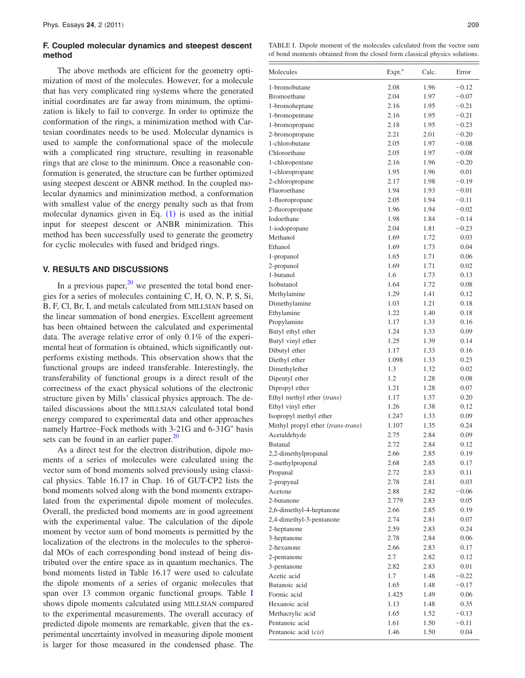# **F. Coupled molecular dynamics and steepest descent method**

The above methods are efficient for the geometry optimization of most of the molecules. However, for a molecule that has very complicated ring systems where the generated initial coordinates are far away from minimum, the optimization is likely to fail to converge. In order to optimize the conformation of the rings, a minimization method with Cartesian coordinates needs to be used. Molecular dynamics is used to sample the conformational space of the molecule with a complicated ring structure, resulting in reasonable rings that are close to the minimum. Once a reasonable conformation is generated, the structure can be further optimized using steepest descent or ABNR method. In the coupled molecular dynamics and minimization method, a conformation with smallest value of the energy penalty such as that from molecular dynamics given in Eq.  $(1)$  $(1)$  $(1)$  is used as the initial input for steepest descent or ANBR minimization. This method has been successfully used to generate the geometry for cyclic molecules with fused and bridged rings.

# **V. RESULTS AND DISCUSSIONS**

In a previous paper, $^{20}$  we presented the total bond energies for a series of molecules containing C, H, O, N, P, S, Si, B, F, Cl, Br, I, and metals calculated from MILLSIAN based on the linear summation of bond energies. Excellent agreement has been obtained between the calculated and experimental data. The average relative error of only 0.1% of the experimental heat of formation is obtained, which significantly outperforms existing methods. This observation shows that the functional groups are indeed transferable. Interestingly, the transferability of functional groups is a direct result of the correctness of the exact physical solutions of the electronic structure given by Mills' classical physics approach. The detailed discussions about the MILLSIAN calculated total bond energy compared to experimental data and other approaches namely Hartree–Fock methods with 3-21G and 6-31G<sup>\*</sup> basis sets can be found in an earlier paper. $20$ 

As a direct test for the electron distribution, dipole moments of a series of molecules were calculated using the vector sum of bond moments solved previously using classical physics. Table 16.17 in Chap. 16 of GUT-CP2 lists the bond moments solved along with the bond moments extrapolated from the experimental dipole moment of molecules. Overall, the predicted bond moments are in good agreement with the experimental value. The calculation of the dipole moment by vector sum of bond moments is permitted by the localization of the electrons in the molecules to the spheroidal MOs of each corresponding bond instead of being distributed over the entire space as in quantum mechanics. The bond moments listed in Table 16.17 were used to calculate the dipole moments of a series of organic molecules that span over 13 common organic functional groups. Table [I](#page-9-0) shows dipole moments calculated using MILLSIAN compared to the experimental measurements. The overall accuracy of predicted dipole moments are remarkable, given that the experimental uncertainty involved in measuring dipole moment is larger for those measured in the condensed phase. The

<span id="page-9-0"></span>TABLE I. Dipole moment of the molecules calculated from the vector sum of bond moments obtained from the closed form classical physics solutions.

| Molecules                         | Expt. <sup>a</sup> | Calc. | Error   |
|-----------------------------------|--------------------|-------|---------|
| 1-bromobutane                     | 2.08               | 1.96  | $-0.12$ |
| <b>Bromoethane</b>                | 2.04               | 1.97  | $-0.07$ |
| 1-bromoheptane                    | 2.16               | 1.95  | $-0.21$ |
| 1-bromopentane                    | 2.16               | 1.95  | $-0.21$ |
| 1-bromopropane                    | 2.18               | 1.95  | $-0.23$ |
| 2-bromopropane                    | 2.21               | 2.01  | $-0.20$ |
| 1-chlorobutane                    | 2.05               | 1.97  | $-0.08$ |
| Chloroethane                      | 2.05               | 1.97  | $-0.08$ |
| 1-chloropentane                   | 2.16               | 1.96  | $-0.20$ |
| 1-chloropropane                   | 1.95               | 1.96  | 0.01    |
| 2-chloropropane                   | 2.17               | 1.98  | $-0.19$ |
| Fluoroethane                      | 1.94               | 1.93  | $-0.01$ |
| 1-fluoropropane                   | 2.05               | 1.94  | $-0.11$ |
| 2-fluoropropane                   | 1.96               | 1.94  | $-0.02$ |
| Iodoethane                        | 1.98               | 1.84  | $-0.14$ |
| 1-iodopropane                     | 2.04               | 1.81  | $-0.23$ |
| Methanol                          | 1.69               | 1.72  | 0.03    |
| Ethanol                           | 1.69               | 1.73  | 0.04    |
| 1-propanol                        | 1.65               | 1.71  | 0.06    |
| 2-propanol                        | 1.69               | 1.71  | 0.02    |
| 1-butanol                         | 1.6                | 1.73  | 0.13    |
| Isobutanol                        | 1.64               | 1.72  | 0.08    |
| Methylamine                       | 1.29               | 1.41  | 0.12    |
| Dimethylamine                     | 1.03               | 1.21  | 0.18    |
| Ethylamine                        | 1.22               | 1.40  | 0.18    |
| Propylamine                       | 1.17               | 1.33  | 0.16    |
| Butyl ethyl ether                 | 1.24               | 1.33  | 0.09    |
| Butyl vinyl ether                 | 1.25               | 1.39  | 0.14    |
| Dibutyl ether                     | 1.17               | 1.33  | 0.16    |
| Diethyl ether                     | 1.098              | 1.33  | 0.23    |
| Dimethylether                     | 1.3                | 1.32  | 0.02    |
| Dipentyl ether                    | 1.2                | 1.28  | 0.08    |
| Dipropyl ether                    | 1.21               | 1.28  | 0.07    |
| Ethyl methyl ether (trans)        | 1.17               | 1.37  | 0.20    |
| Ethyl vinyl ether                 | 1.26               | 1.38  | 0.12    |
| Isopropyl methyl ether            | 1.247              | 1.33  | 0.09    |
| Methyl propyl ether (trans-trans) | 1.107              | 1.35  | 0.24    |
| Acetaldehyde                      | 2.75               | 2.84  | 0.09    |
| <b>Butanal</b>                    | 2.72               | 2.84  | 0.12    |
| 2,2-dimethylpropanal              | 2.66               | 2.85  | 0.19    |
| 2-methylpropenal                  | 2.68               | 2.85  | 0.17    |
| Propanal                          | 2.72               | 2.83  | 0.11    |
| 2-propynal                        | 2.78               | 2.81  | 0.03    |
| Acetone                           | 2.88               | 2.82  | $-0.06$ |
| 2-butanone                        | 2.779              | 2.83  | 0.05    |
| 2,6-dimethyl-4-heptanone          | 2.66               | 2.85  | 0.19    |
| 2,4-dimethyl-3-pentanone          | 2.74               | 2.81  | 0.07    |
| 2-heptanone                       | 2.59               | 2.83  | 0.24    |
| 3-heptanone                       | 2.78               | 2.84  | 0.06    |
| 2-hexanone                        | 2.66               | 2.83  | 0.17    |
| 2-pentanone                       | 2.7                | 2.82  | 0.12    |
| 3-pentanone                       | 2.82               | 2.83  | 0.01    |
| Acetic acid                       | 1.7                | 1.48  | $-0.22$ |
| Butanoic acid                     | 1.65               | 1.48  | $-0.17$ |
| Formic acid                       | 1.425              | 1.49  | 0.06    |
| Hexanoic acid                     | 1.13               | 1.48  | 0.35    |
| Methacrylic acid                  | 1.65               | 1.52  | $-0.13$ |
| Pentanoic acid                    | 1.61               | 1.50  | $-0.11$ |
| Pentanoic acid (cis)              | 1.46               | 1.50  | 0.04    |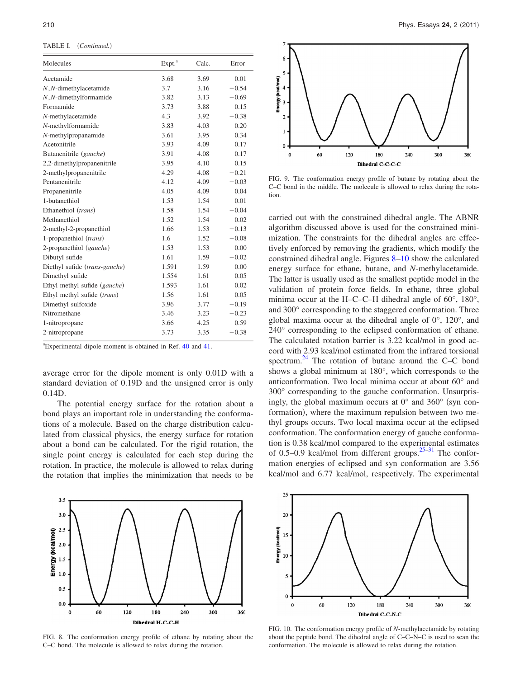TABLE I. (Continued.)

| Molecules                     | Expt. <sup>a</sup> | Calc. | Error   |
|-------------------------------|--------------------|-------|---------|
| Acetamide                     | 3.68               | 3.69  | 0.01    |
| $N, N$ -dimethylacetamide     | 3.7                | 3.16  | $-0.54$ |
| $N, N$ -dimethylformamide     | 3.82               | 3.13  | $-0.69$ |
| Formamide                     | 3.73               | 3.88  | 0.15    |
| N-methylacetamide             | 4.3                | 3.92  | $-0.38$ |
| N-methylformamide             | 3.83               | 4.03  | 0.20    |
| N-methylpropanamide           | 3.61               | 3.95  | 0.34    |
| Acetonitrile                  | 3.93               | 4.09  | 0.17    |
| Butanenitrile (gauche)        | 3.91               | 4.08  | 0.17    |
| 2,2-dimethylpropanenitrile    | 3.95               | 4.10  | 0.15    |
| 2-methylpropanenitrile        | 4.29               | 4.08  | $-0.21$ |
| Pentanenitrile                | 4.12               | 4.09  | $-0.03$ |
| Propanenitrile                | 4.05               | 4.09  | 0.04    |
| 1-butanethiol                 | 1.53               | 1.54  | 0.01    |
| Ethanethiol (trans)           | 1.58               | 1.54  | $-0.04$ |
| Methanethiol                  | 1.52               | 1.54  | 0.02    |
| 2-methyl-2-propanethiol       | 1.66               | 1.53  | $-0.13$ |
| 1-propanethiol (trans)        | 1.6                | 1.52  | $-0.08$ |
| 2-propanethiol (gauche)       | 1.53               | 1.53  | 0.00    |
| Dibutyl sufide                | 1.61               | 1.59  | $-0.02$ |
| Diethyl sufide (trans-gauche) | 1.591              | 1.59  | 0.00    |
| Dimethyl sufide               | 1.554              | 1.61  | 0.05    |
| Ethyl methyl sufide (gauche)  | 1.593              | 1.61  | 0.02    |
| Ethyl methyl sufide (trans)   | 1.56               | 1.61  | 0.05    |
| Dimethyl sulfoxide            | 3.96               | 3.77  | $-0.19$ |
| Nitromethane                  | 3.46               | 3.23  | $-0.23$ |
| 1-nitropropane                | 3.66               | 4.25  | 0.59    |
| 2-nitropropane                | 3.73               | 3.35  | $-0.38$ |

<sup>a</sup> Experimental dipole moment is obtained in Ref. [40](#page-12-0) and [41.](#page-12-1)

average error for the dipole moment is only 0.01D with a standard deviation of 0.19D and the unsigned error is only 0.14D.

The potential energy surface for the rotation about a bond plays an important role in understanding the conformations of a molecule. Based on the charge distribution calculated from classical physics, the energy surface for rotation about a bond can be calculated. For the rigid rotation, the single point energy is calculated for each step during the rotation. In practice, the molecule is allowed to relax during the rotation that implies the minimization that needs to be

<span id="page-10-0"></span>

FIG. 8. The conformation energy profile of ethane by rotating about the C–C bond. The molecule is allowed to relax during the rotation.



FIG. 9. The conformation energy profile of butane by rotating about the C–C bond in the middle. The molecule is allowed to relax during the rotation.

carried out with the constrained dihedral angle. The ABNR algorithm discussed above is used for the constrained minimization. The constraints for the dihedral angles are effectively enforced by removing the gradients, which modify the constrained dihedral angle. Figures [8](#page-10-0)[–10](#page-10-1) show the calculated energy surface for ethane, butane, and *N*-methylacetamide. The latter is usually used as the smallest peptide model in the validation of protein force fields. In ethane, three global minima occur at the H–C–C–H dihedral angle of 60°, 180°, and 300° corresponding to the staggered conformation. Three global maxima occur at the dihedral angle of 0°, 120°, and 240° corresponding to the eclipsed conformation of ethane. The calculated rotation barrier is 3.22 kcal/mol in good accord with 2.93 kcal/mol estimated from the infrared torsional spectrum. $^{24}$  The rotation of butane around the C–C bond shows a global minimum at 180°, which corresponds to the anticonformation. Two local minima occur at about 60° and 300° corresponding to the gauche conformation. Unsurprisingly, the global maximum occurs at  $0^{\circ}$  and  $360^{\circ}$  (syn conformation), where the maximum repulsion between two methyl groups occurs. Two local maxima occur at the eclipsed conformation. The conformation energy of gauche conformation is 0.38 kcal/mol compared to the experimental estimates of 0.5–0.9 kcal/mol from different groups[.25–](#page-11-14)[31](#page-11-15) The conformation energies of eclipsed and syn conformation are 3.56 kcal/mol and 6.77 kcal/mol, respectively. The experimental

<span id="page-10-1"></span>

FIG. 10. The conformation energy profile of *N*-methylacetamide by rotating about the peptide bond. The dihedral angle of C–C–N–C is used to scan the conformation. The molecule is allowed to relax during the rotation.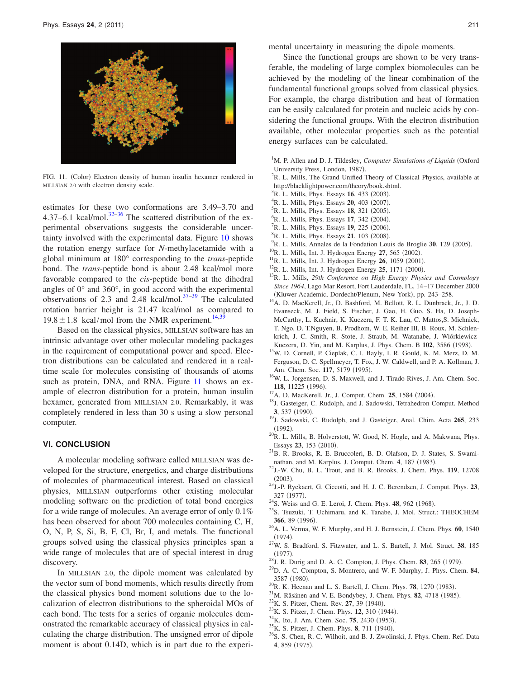<span id="page-11-18"></span>

FIG. 11. (Color) Electron density of human insulin hexamer rendered in MILLSIAN 2.0 with electron density scale.

estimates for these two conformations are 3.49–3.70 and 4.37–6.1 kcal/mol. $32-36$  The scattered distribution of the experimental observations suggests the considerable uncertainty involved with the experimental data. Figure [10](#page-10-1) shows the rotation energy surface for *N*-methylacetamide with a global minimum at 180° corresponding to the *trans*-peptide bond. The *trans*-peptide bond is about 2.48 kcal/mol more favorable compared to the *cis*-peptide bond at the dihedral angles of 0° and 360°, in good accord with the experimental observations of 2.3 and 2.48 kcal/mol. $37-39$  $37-39$  The calculated rotation barrier height is 21.47 kcal/mol as compared to  $19.8 \pm 1.8$  kcal/mol from the NMR experiment.<sup>14[,39](#page-12-3)</sup>

Based on the classical physics, MILLSIAN software has an intrinsic advantage over other molecular modeling packages in the requirement of computational power and speed. Electron distributions can be calculated and rendered in a realtime scale for molecules consisting of thousands of atoms such as protein, DNA, and RNA. Figure [11](#page-11-18) shows an example of electron distribution for a protein, human insulin hexamer, generated from MILLSIAN 2.0. Remarkably, it was completely rendered in less than 30 s using a slow personal computer.

#### **VI. CONCLUSION**

A molecular modeling software called MILLSIAN was developed for the structure, energetics, and charge distributions of molecules of pharmaceutical interest. Based on classical physics, MILLSIAN outperforms other existing molecular modeling software on the prediction of total bond energies for a wide range of molecules. An average error of only 0.1% has been observed for about 700 molecules containing C, H, O, N, P, S, Si, B, F, Cl, Br, I, and metals. The functional groups solved using the classical physics principles span a wide range of molecules that are of special interest in drug discovery.

In MILLSIAN 2.0, the dipole moment was calculated by the vector sum of bond moments, which results directly from the classical physics bond moment solutions due to the localization of electron distributions to the spheroidal MOs of each bond. The tests for a series of organic molecules demonstrated the remarkable accuracy of classical physics in calculating the charge distribution. The unsigned error of dipole moment is about 0.14D, which is in part due to the experimental uncertainty in measuring the dipole moments.

Since the functional groups are shown to be very transferable, the modeling of large complex biomolecules can be achieved by the modeling of the linear combination of the fundamental functional groups solved from classical physics. For example, the charge distribution and heat of formation can be easily calculated for protein and nucleic acids by considering the functional groups. With the electron distribution available, other molecular properties such as the potential energy surfaces can be calculated.

<span id="page-11-0"></span><sup>1</sup>M. P. Allen and D. J. Tildesley, *Computer Simulations of Liquids* (Oxford University Press, London, 1987).<br> $^{2}P_{P} =$  Mille The Grand Unifod 7

<span id="page-11-1"></span> ${}^{2}R$ . L. Mills, The Grand Unified Theory of Classical Physics, available at http://blacklightpower.com/theory/book.shtml.

- <sup>3</sup>R. L. Mills, Phys. Essays **16**, 433 (2003).
- <sup>4</sup>R. L. Mills, Phys. Essays **20**, 403 (2007).<br><sup>5</sup>P. J. Mills, Phys. Essays **18**, 221 (2005).
- <sup>3</sup>R. L. Mills, Phys. Essays **18**, 321 (2005).<br><sup>6</sup>P. L. Mills, Phys. Essays **17**, 342 (2004).
- <sup>6</sup>R. L. Mills, Phys. Essays **17**, 342 (2004).<br><sup>7</sup>P. J. Mills, Phys. Essays **19**, 225 (2006).
- <sup>7</sup>R. L. Mills, Phys. Essays **19**, 225 (2006).<br><sup>8</sup>P. L. Mills, Phys. Essays **21**, 103 (2008).
- ${}^{8}R$ . L. Mills, Phys. Essays **21**, 103 (2008).
- ${}^{9}R$ . L. Mills, Annales de la Fondation Louis de Broglie **30**, 129 (2005).
- <sup>10</sup>R. L. Mills, Int. J. Hydrogen Energy **27**, 565 (2002).
- <sup>11</sup>R. L. Mills, Int. J. Hydrogen Energy **26**, 1059 (2001).
- <sup>12</sup>R. L. Mills, Int. J. Hydrogen Energy **25**, 1171 (2000).
- <span id="page-11-2"></span><sup>13</sup>R. L. Mills, 29th Conference on High Energy Physics and Cosmology *Since 1964*, Lago Mar Resort, Fort Lauderdale, FL, 14–17 December 2000 (Kluwer Academic, Dordecht/Plenum, New York), pp. 243-258.
- <span id="page-11-3"></span> $^{14}$ A. D. MacKerell, Jr., D. Bashford, M. Bellott, R. L. Dunbrack, Jr., J. D. Evanseck, M. J. Field, S. Fischer, J. Gao, H. Guo, S. Ha, D. Joseph-McCarthy, L. Kuchnir, K. Kuczera, F. T. K. Lau, C. Mattos,S. Michnick, T. Ngo, D. T.Nguyen, B. Prodhom, W. E. Reiher III, B. Roux, M. Schlenkrich, J. C. Smith, R. Stote, J. Straub, M. Watanabe, J. Wiórkiewicz-Kuczera, D. Yin, and M. Karplus, J. Phys. Chem. B 102, 3586 (1998).
- <span id="page-11-4"></span><sup>15</sup>W. D. Cornell, P. Cieplak, C. I. Bayly, I. R. Gould, K. M. Merz, D. M. Ferguson, D. C. Spellmeyer, T. Fox, J. W. Caldwell, and P. A. Kollman, J. Am. Chem. Soc. 117, 5179 (1995).
- <span id="page-11-5"></span><sup>16</sup>W. L. Jorgensen, D. S. Maxwell, and J. Tirado-Rives, J. Am. Chem. Soc. 118, 11225 (1996).
- <span id="page-11-6"></span><sup>17</sup>A. D. MacKerell, Jr., J. Comput. Chem. **25**, 1584 (2004).
- <span id="page-11-7"></span><sup>18</sup>J. Gasteiger, C. Rudolph, and J. Sadowski, Tetrahedron Comput. Method **3**, 537 (1990).
- <span id="page-11-8"></span>. 19J. Sadowski, C. Rudolph, and J. Gasteiger, Anal. Chim. Acta **<sup>265</sup>**, 233  $(1992)$ .
- <span id="page-11-9"></span> $^{20}R$ . L. Mills, B. Holverstott, W. Good, N. Hogle, and A. Makwana, Phys. Essays 23, 153 (2010).
- <span id="page-11-10"></span><sup>21</sup>B. R. Brooks, R. E. Bruccoleri, B. D. Olafson, D. J. States, S. Swaminathan, and M. Karplus, J. Comput. Chem. 4, 187 (1983).
- <span id="page-11-11"></span>. 22J.-W. Chu, B. L. Trout, and B. R. Brooks, J. Chem. Phys. **<sup>119</sup>**, 12708  $(2003).$
- <span id="page-11-12"></span>. 23J.-P. Ryckaert, G. Ciccotti, and H. J. C. Berendsen, J. Comput. Phys. **<sup>23</sup>**, 327 (1977).
- <span id="page-11-13"></span><sup>24</sup>S. Weiss and G. E. Leroi, J. Chem. Phys. **48**, 962 (1968).
- <span id="page-11-14"></span><sup>25</sup>S. Tsuzuki, T. Uchimaru, and K. Tanabe, J. Mol. Struct.: THEOCHEM 366, 89 (1996).
- . 26A. L. Verma, W. F. Murphy, and H. J. Bernstein, J. Chem. Phys. **<sup>60</sup>**, 1540  $(1974).$
- . 27W. S. Bradford, S. Fitzwater, and L. S. Bartell, J. Mol. Struct. **<sup>38</sup>**, 185  $(1977)$
- <sup>28</sup>J. R. Durig and D. A. C. Compton, J. Phys. Chem. **83**, 265 (1979).
- . 29D. A. C. Compton, S. Montrero, and W. F. Murphy, J. Phys. Chem. **<sup>84</sup>**, 3587 (1980).
- <sup>30</sup>R. K. Heenan and L. S. Bartell, J. Chem. Phys. **78**, 1270 (1983).
- <span id="page-11-15"></span><sup>30</sup>R. K. Heenan and L. S. Bartell, J. Chem. Phys. **78**, 1270 (1983).<br><sup>31</sup>M. Räsänen and V. E. Bondybey, J. Chem. Phys. **82**, 4718 (1985) <sup>31</sup>M. Räsänen and V. E. Bondybey, J. Chem. Phys. **82**, 4718 (1985).<br><sup>32</sup>K. S. Pitzer, Chem. Rev. 27, 39 (1940).
- 
- <span id="page-11-16"></span><sup>32</sup>K. S. Pitzer, Chem. Rev. **27**, 39 (1940).<br><sup>33</sup>K. S. Pitzer, J. Chem. Phys. **12**, 310 (1944).
- <sup>34</sup>K. Ito, J. Am. Chem. Soc. **75**, 2430 (1953).
- <sup>35</sup>K. S. Pitzer, J. Chem. Phys. **8**, 711 (1940).
- <span id="page-11-17"></span><sup>36</sup>S. S. Chen, R. C. Wilhoit, and B. J. Zwolinski, J. Phys. Chem. Ref. Data 4, 859 (1975).